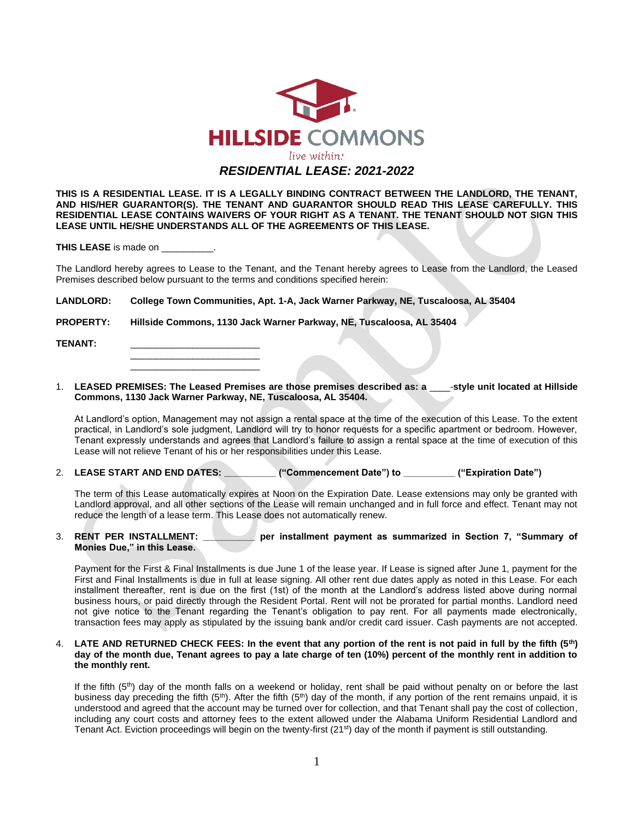

**THIS IS A RESIDENTIAL LEASE. IT IS A LEGALLY BINDING CONTRACT BETWEEN THE LANDLORD, THE TENANT, AND HIS/HER GUARANTOR(S). THE TENANT AND GUARANTOR SHOULD READ THIS LEASE CAREFULLY. THIS RESIDENTIAL LEASE CONTAINS WAIVERS OF YOUR RIGHT AS A TENANT. THE TENANT SHOULD NOT SIGN THIS LEASE UNTIL HE/SHE UNDERSTANDS ALL OF THE AGREEMENTS OF THIS LEASE.**

**THIS LEASE** is made on \_\_\_\_\_\_

 $\frac{1}{\sqrt{2}}$  ,  $\frac{1}{\sqrt{2}}$  ,  $\frac{1}{\sqrt{2}}$  ,  $\frac{1}{\sqrt{2}}$  ,  $\frac{1}{\sqrt{2}}$  ,  $\frac{1}{\sqrt{2}}$  ,  $\frac{1}{\sqrt{2}}$  ,  $\frac{1}{\sqrt{2}}$  ,  $\frac{1}{\sqrt{2}}$  ,  $\frac{1}{\sqrt{2}}$  ,  $\frac{1}{\sqrt{2}}$  ,  $\frac{1}{\sqrt{2}}$  ,  $\frac{1}{\sqrt{2}}$  ,  $\frac{1}{\sqrt{2}}$  ,  $\frac{1}{\sqrt{2}}$ 

\_\_\_\_\_\_\_\_\_\_\_\_\_\_\_\_\_\_\_\_\_\_\_\_\_

The Landlord hereby agrees to Lease to the Tenant, and the Tenant hereby agrees to Lease from the Landlord, the Leased Premises described below pursuant to the terms and conditions specified herein:

**LANDLORD: College Town Communities, Apt. 1-A, Jack Warner Parkway, NE, Tuscaloosa, AL 35404**

**PROPERTY: Hillside Commons, 1130 Jack Warner Parkway, NE, Tuscaloosa, AL 35404**

TENANT:

1. **LEASED PREMISES: The Leased Premises are those premises described as: a** \_\_\_\_-**style unit located at Hillside Commons, 1130 Jack Warner Parkway, NE, Tuscaloosa, AL 35404.** 

At Landlord's option, Management may not assign a rental space at the time of the execution of this Lease. To the extent practical, in Landlord's sole judgment, Landlord will try to honor requests for a specific apartment or bedroom. However, Tenant expressly understands and agrees that Landlord's failure to assign a rental space at the time of execution of this Lease will not relieve Tenant of his or her responsibilities under this Lease.

2. **LEASE START AND END DATES: \_\_\_\_\_\_\_\_\_\_ ("Commencement Date") to \_\_\_\_\_\_\_\_\_\_ ("Expiration Date")**

The term of this Lease automatically expires at Noon on the Expiration Date. Lease extensions may only be granted with Landlord approval, and all other sections of the Lease will remain unchanged and in full force and effect. Tenant may not reduce the length of a lease term. This Lease does not automatically renew.

## 3. **RENT PER INSTALLMENT: \_\_\_\_\_\_\_\_\_\_ per installment payment as summarized in Section 7, "Summary of Monies Due," in this Lease.**

Payment for the First & Final Installments is due June 1 of the lease year. If Lease is signed after June 1, payment for the First and Final Installments is due in full at lease signing. All other rent due dates apply as noted in this Lease. For each installment thereafter, rent is due on the first (1st) of the month at the Landlord's address listed above during normal business hours, or paid directly through the Resident Portal. Rent will not be prorated for partial months. Landlord need not give notice to the Tenant regarding the Tenant's obligation to pay rent. For all payments made electronically, transaction fees may apply as stipulated by the issuing bank and/or credit card issuer. Cash payments are not accepted.

4. **LATE AND RETURNED CHECK FEES: In the event that any portion of the rent is not paid in full by the fifth (5th) day of the month due, Tenant agrees to pay a late charge of ten (10%) percent of the monthly rent in addition to the monthly rent.** 

If the fifth  $(5<sup>th</sup>)$  day of the month falls on a weekend or holiday, rent shall be paid without penalty on or before the last business day preceding the fifth  $(5<sup>th</sup>)$ . After the fifth  $(5<sup>th</sup>)$  day of the month, if any portion of the rent remains unpaid, it is understood and agreed that the account may be turned over for collection, and that Tenant shall pay the cost of collection, including any court costs and attorney fees to the extent allowed under the Alabama Uniform Residential Landlord and Tenant Act. Eviction proceedings will begin on the twenty-first (21<sup>st</sup>) day of the month if payment is still outstanding.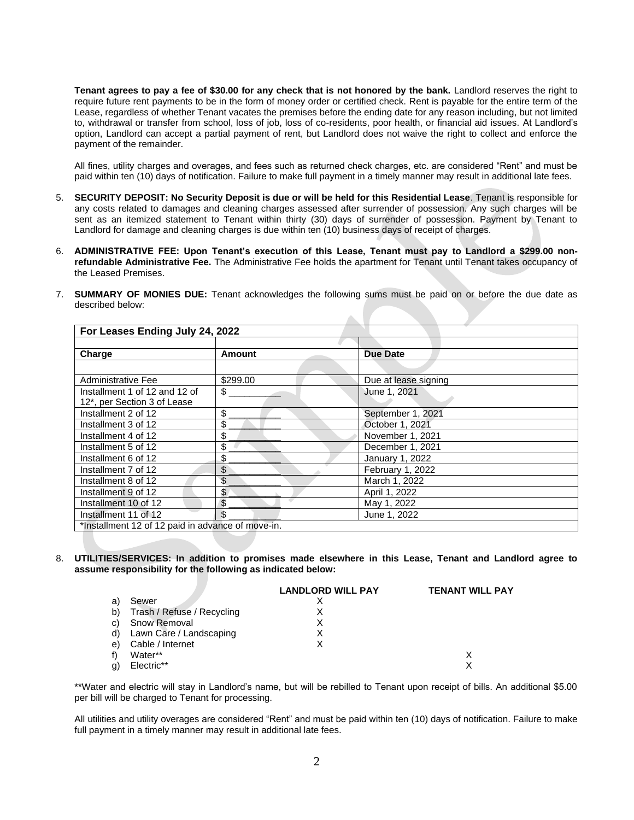**Tenant agrees to pay a fee of \$30.00 for any check that is not honored by the bank.** Landlord reserves the right to require future rent payments to be in the form of money order or certified check. Rent is payable for the entire term of the Lease, regardless of whether Tenant vacates the premises before the ending date for any reason including, but not limited to, withdrawal or transfer from school, loss of job, loss of co-residents, poor health, or financial aid issues. At Landlord's option, Landlord can accept a partial payment of rent, but Landlord does not waive the right to collect and enforce the payment of the remainder.

All fines, utility charges and overages, and fees such as returned check charges, etc. are considered "Rent" and must be paid within ten (10) days of notification. Failure to make full payment in a timely manner may result in additional late fees.

- 5. **SECURITY DEPOSIT: No Security Deposit is due or will be held for this Residential Lease**. Tenant is responsible for any costs related to damages and cleaning charges assessed after surrender of possession. Any such charges will be sent as an itemized statement to Tenant within thirty (30) days of surrender of possession. Payment by Tenant to Landlord for damage and cleaning charges is due within ten (10) business days of receipt of charges.
- 6. **ADMINISTRATIVE FEE: Upon Tenant's execution of this Lease, Tenant must pay to Landlord a \$299.00 nonrefundable Administrative Fee.** The Administrative Fee holds the apartment for Tenant until Tenant takes occupancy of the Leased Premises.
- 7. **SUMMARY OF MONIES DUE:** Tenant acknowledges the following sums must be paid on or before the due date as described below:

| For Leases Ending July 24, 2022                   |               |                      |  |  |
|---------------------------------------------------|---------------|----------------------|--|--|
|                                                   |               |                      |  |  |
| Charge                                            | <b>Amount</b> | <b>Due Date</b>      |  |  |
|                                                   |               |                      |  |  |
| Administrative Fee                                | \$299.00      | Due at lease signing |  |  |
| Installment 1 of 12 and 12 of                     | \$            | June 1, 2021         |  |  |
| 12*, per Section 3 of Lease                       |               |                      |  |  |
| Installment 2 of 12                               | \$            | September 1, 2021    |  |  |
| Installment 3 of 12                               | \$            | October 1, 2021      |  |  |
| Installment 4 of 12                               | \$            | November 1, 2021     |  |  |
| Installment 5 of 12                               | \$            | December 1, 2021     |  |  |
| Installment 6 of 12                               | \$            | January 1, 2022      |  |  |
| Installment 7 of 12                               | \$            | February 1, 2022     |  |  |
| Installment 8 of 12                               | \$            | March 1, 2022        |  |  |
| Installment 9 of 12                               | \$            | April 1, 2022        |  |  |
| Installment 10 of 12                              | \$            | May 1, 2022          |  |  |
| Installment 11 of 12                              |               | June 1, 2022         |  |  |
| *Installment 12 of 12 paid in advance of move-in. |               |                      |  |  |

8. **UTILITIES/SERVICES: In addition to promises made elsewhere in this Lease, Tenant and Landlord agree to assume responsibility for the following as indicated below:**

|    |                               | <b>LANDLORD WILL PAY</b> | <b>TENANT WILL PAY</b> |
|----|-------------------------------|--------------------------|------------------------|
| a) | Sewer                         |                          |                        |
|    | b) Trash / Refuse / Recycling |                          |                        |
|    | c) Snow Removal               |                          |                        |
|    | d) Lawn Care / Landscaping    |                          |                        |
| e) | Cable / Internet              |                          |                        |
| f) | Water**                       |                          |                        |
| g) | Electric**                    |                          |                        |

\*\*Water and electric will stay in Landlord's name, but will be rebilled to Tenant upon receipt of bills. An additional \$5.00 per bill will be charged to Tenant for processing.

All utilities and utility overages are considered "Rent" and must be paid within ten (10) days of notification. Failure to make full payment in a timely manner may result in additional late fees.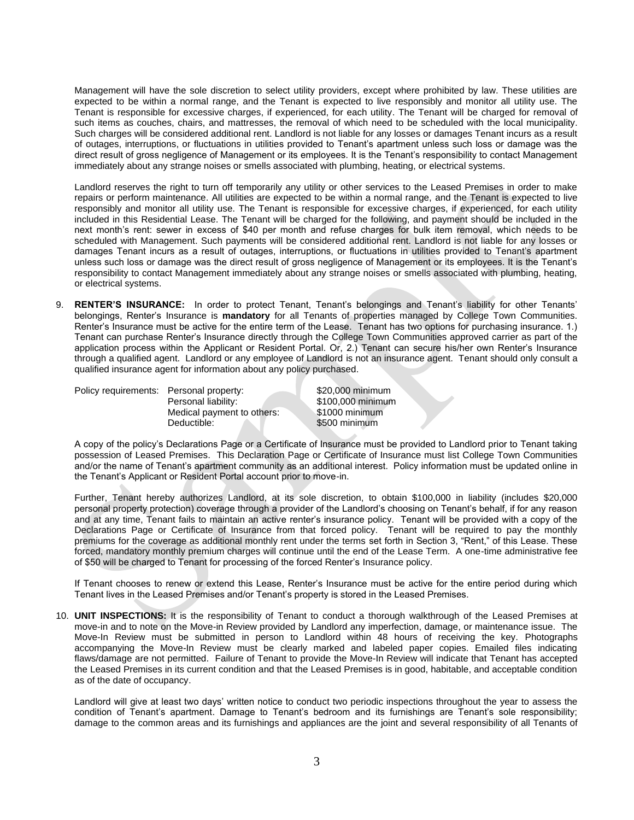Management will have the sole discretion to select utility providers, except where prohibited by law. These utilities are expected to be within a normal range, and the Tenant is expected to live responsibly and monitor all utility use. The Tenant is responsible for excessive charges, if experienced, for each utility. The Tenant will be charged for removal of such items as couches, chairs, and mattresses, the removal of which need to be scheduled with the local municipality. Such charges will be considered additional rent. Landlord is not liable for any losses or damages Tenant incurs as a result of outages, interruptions, or fluctuations in utilities provided to Tenant's apartment unless such loss or damage was the direct result of gross negligence of Management or its employees. It is the Tenant's responsibility to contact Management immediately about any strange noises or smells associated with plumbing, heating, or electrical systems.

Landlord reserves the right to turn off temporarily any utility or other services to the Leased Premises in order to make repairs or perform maintenance. All utilities are expected to be within a normal range, and the Tenant is expected to live responsibly and monitor all utility use. The Tenant is responsible for excessive charges, if experienced, for each utility included in this Residential Lease. The Tenant will be charged for the following, and payment should be included in the next month's rent: sewer in excess of \$40 per month and refuse charges for bulk item removal, which needs to be scheduled with Management. Such payments will be considered additional rent. Landlord is not liable for any losses or damages Tenant incurs as a result of outages, interruptions, or fluctuations in utilities provided to Tenant's apartment unless such loss or damage was the direct result of gross negligence of Management or its employees. It is the Tenant's responsibility to contact Management immediately about any strange noises or smells associated with plumbing, heating, or electrical systems.

9. **RENTER'S INSURANCE:** In order to protect Tenant, Tenant's belongings and Tenant's liability for other Tenants' belongings, Renter's Insurance is **mandatory** for all Tenants of properties managed by College Town Communities. Renter's Insurance must be active for the entire term of the Lease. Tenant has two options for purchasing insurance. 1.) Tenant can purchase Renter's Insurance directly through the College Town Communities approved carrier as part of the application process within the Applicant or Resident Portal. Or, 2.) Tenant can secure his/her own Renter's Insurance through a qualified agent. Landlord or any employee of Landlord is not an insurance agent. Tenant should only consult a qualified insurance agent for information about any policy purchased.

Policy requirements: Personal property: \$20,000 minimum

Personal liability: \$100,000 minimum Medical payment to others: \$1000 minimum Deductible: \$500 minimum

A copy of the policy's Declarations Page or a Certificate of Insurance must be provided to Landlord prior to Tenant taking possession of Leased Premises. This Declaration Page or Certificate of Insurance must list College Town Communities and/or the name of Tenant's apartment community as an additional interest. Policy information must be updated online in the Tenant's Applicant or Resident Portal account prior to move-in.

Further, Tenant hereby authorizes Landlord, at its sole discretion, to obtain \$100,000 in liability (includes \$20,000 personal property protection) coverage through a provider of the Landlord's choosing on Tenant's behalf, if for any reason and at any time, Tenant fails to maintain an active renter's insurance policy. Tenant will be provided with a copy of the Declarations Page or Certificate of Insurance from that forced policy. Tenant will be required to pay the monthly premiums for the coverage as additional monthly rent under the terms set forth in Section 3, "Rent," of this Lease. These forced, mandatory monthly premium charges will continue until the end of the Lease Term. A one-time administrative fee of \$50 will be charged to Tenant for processing of the forced Renter's Insurance policy.

If Tenant chooses to renew or extend this Lease, Renter's Insurance must be active for the entire period during which Tenant lives in the Leased Premises and/or Tenant's property is stored in the Leased Premises.

10. **UNIT INSPECTIONS:** It is the responsibility of Tenant to conduct a thorough walkthrough of the Leased Premises at move-in and to note on the Move-in Review provided by Landlord any imperfection, damage, or maintenance issue. The Move-In Review must be submitted in person to Landlord within 48 hours of receiving the key. Photographs accompanying the Move-In Review must be clearly marked and labeled paper copies. Emailed files indicating flaws/damage are not permitted. Failure of Tenant to provide the Move-In Review will indicate that Tenant has accepted the Leased Premises in its current condition and that the Leased Premises is in good, habitable, and acceptable condition as of the date of occupancy.

Landlord will give at least two days' written notice to conduct two periodic inspections throughout the year to assess the condition of Tenant's apartment. Damage to Tenant's bedroom and its furnishings are Tenant's sole responsibility; damage to the common areas and its furnishings and appliances are the joint and several responsibility of all Tenants of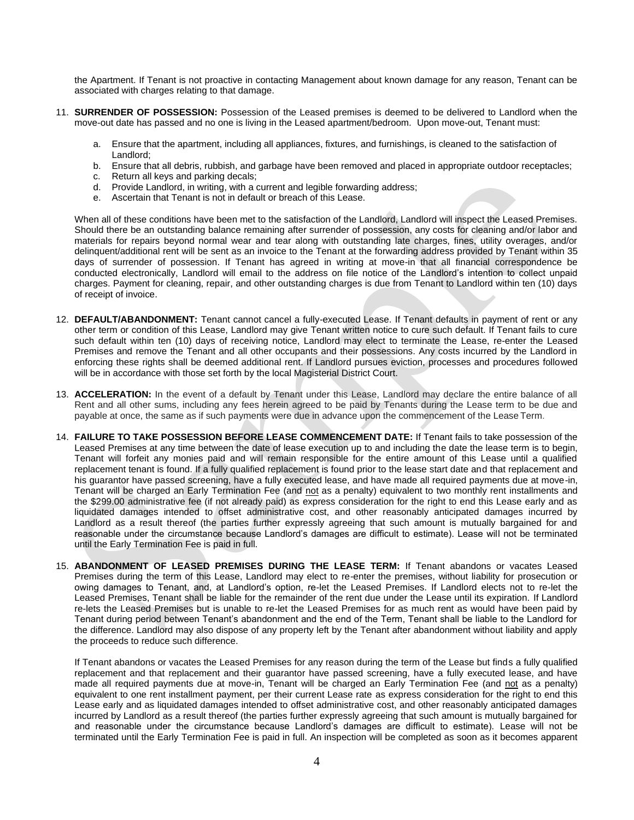the Apartment. If Tenant is not proactive in contacting Management about known damage for any reason, Tenant can be associated with charges relating to that damage.

- 11. **SURRENDER OF POSSESSION:** Possession of the Leased premises is deemed to be delivered to Landlord when the move-out date has passed and no one is living in the Leased apartment/bedroom. Upon move-out, Tenant must:
	- a. Ensure that the apartment, including all appliances, fixtures, and furnishings, is cleaned to the satisfaction of Landlord;
	- b. Ensure that all debris, rubbish, and garbage have been removed and placed in appropriate outdoor receptacles;
	- c. Return all keys and parking decals;
	- d. Provide Landlord, in writing, with a current and legible forwarding address;
	- e. Ascertain that Tenant is not in default or breach of this Lease.

When all of these conditions have been met to the satisfaction of the Landlord, Landlord will inspect the Leased Premises. Should there be an outstanding balance remaining after surrender of possession, any costs for cleaning and/or labor and materials for repairs beyond normal wear and tear along with outstanding late charges, fines, utility overages, and/or delinquent/additional rent will be sent as an invoice to the Tenant at the forwarding address provided by Tenant within 35 days of surrender of possession. If Tenant has agreed in writing at move-in that all financial correspondence be conducted electronically, Landlord will email to the address on file notice of the Landlord's intention to collect unpaid charges. Payment for cleaning, repair, and other outstanding charges is due from Tenant to Landlord within ten (10) days of receipt of invoice.

- 12. **DEFAULT/ABANDONMENT:** Tenant cannot cancel a fully-executed Lease. If Tenant defaults in payment of rent or any other term or condition of this Lease, Landlord may give Tenant written notice to cure such default. If Tenant fails to cure such default within ten (10) days of receiving notice, Landlord may elect to terminate the Lease, re-enter the Leased Premises and remove the Tenant and all other occupants and their possessions. Any costs incurred by the Landlord in enforcing these rights shall be deemed additional rent. If Landlord pursues eviction, processes and procedures followed will be in accordance with those set forth by the local Magisterial District Court.
- 13. **ACCELERATION:** In the event of a default by Tenant under this Lease, Landlord may declare the entire balance of all Rent and all other sums, including any fees herein agreed to be paid by Tenants during the Lease term to be due and payable at once, the same as if such payments were due in advance upon the commencement of the Lease Term.
- 14. **FAILURE TO TAKE POSSESSION BEFORE LEASE COMMENCEMENT DATE:** If Tenant fails to take possession of the Leased Premises at any time between the date of lease execution up to and including the date the lease term is to begin, Tenant will forfeit any monies paid and will remain responsible for the entire amount of this Lease until a qualified replacement tenant is found. If a fully qualified replacement is found prior to the lease start date and that replacement and his guarantor have passed screening, have a fully executed lease, and have made all required payments due at move-in, Tenant will be charged an Early Termination Fee (and not as a penalty) equivalent to two monthly rent installments and the \$299.00 administrative fee (if not already paid) as express consideration for the right to end this Lease early and as liquidated damages intended to offset administrative cost, and other reasonably anticipated damages incurred by Landlord as a result thereof (the parties further expressly agreeing that such amount is mutually bargained for and reasonable under the circumstance because Landlord's damages are difficult to estimate). Lease will not be terminated until the Early Termination Fee is paid in full.
- 15. **ABANDONMENT OF LEASED PREMISES DURING THE LEASE TERM:** If Tenant abandons or vacates Leased Premises during the term of this Lease, Landlord may elect to re-enter the premises, without liability for prosecution or owing damages to Tenant, and, at Landlord's option, re-let the Leased Premises. If Landlord elects not to re-let the Leased Premises, Tenant shall be liable for the remainder of the rent due under the Lease until its expiration. If Landlord re-lets the Leased Premises but is unable to re-let the Leased Premises for as much rent as would have been paid by Tenant during period between Tenant's abandonment and the end of the Term, Tenant shall be liable to the Landlord for the difference. Landlord may also dispose of any property left by the Tenant after abandonment without liability and apply the proceeds to reduce such difference.

If Tenant abandons or vacates the Leased Premises for any reason during the term of the Lease but finds a fully qualified replacement and that replacement and their guarantor have passed screening, have a fully executed lease, and have made all required payments due at move-in, Tenant will be charged an Early Termination Fee (and not as a penalty) equivalent to one rent installment payment, per their current Lease rate as express consideration for the right to end this Lease early and as liquidated damages intended to offset administrative cost, and other reasonably anticipated damages incurred by Landlord as a result thereof (the parties further expressly agreeing that such amount is mutually bargained for and reasonable under the circumstance because Landlord's damages are difficult to estimate). Lease will not be terminated until the Early Termination Fee is paid in full. An inspection will be completed as soon as it becomes apparent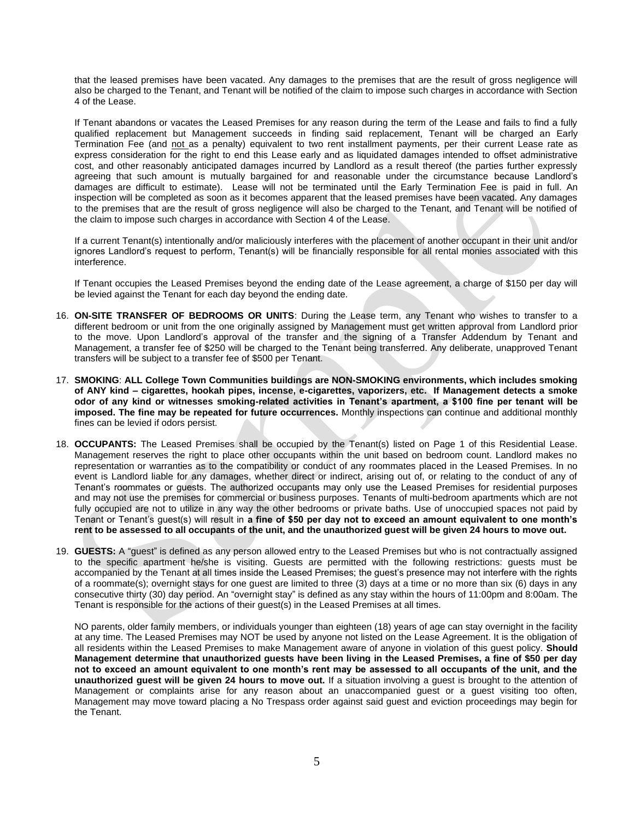that the leased premises have been vacated. Any damages to the premises that are the result of gross negligence will also be charged to the Tenant, and Tenant will be notified of the claim to impose such charges in accordance with Section 4 of the Lease.

If Tenant abandons or vacates the Leased Premises for any reason during the term of the Lease and fails to find a fully qualified replacement but Management succeeds in finding said replacement, Tenant will be charged an Early Termination Fee (and not as a penalty) equivalent to two rent installment payments, per their current Lease rate as express consideration for the right to end this Lease early and as liquidated damages intended to offset administrative cost, and other reasonably anticipated damages incurred by Landlord as a result thereof (the parties further expressly agreeing that such amount is mutually bargained for and reasonable under the circumstance because Landlord's damages are difficult to estimate). Lease will not be terminated until the Early Termination Fee is paid in full. An inspection will be completed as soon as it becomes apparent that the leased premises have been vacated. Any damages to the premises that are the result of gross negligence will also be charged to the Tenant, and Tenant will be notified of the claim to impose such charges in accordance with Section 4 of the Lease.

If a current Tenant(s) intentionally and/or maliciously interferes with the placement of another occupant in their unit and/or ignores Landlord's request to perform, Tenant(s) will be financially responsible for all rental monies associated with this interference.

If Tenant occupies the Leased Premises beyond the ending date of the Lease agreement, a charge of \$150 per day will be levied against the Tenant for each day beyond the ending date.

- 16. **ON-SITE TRANSFER OF BEDROOMS OR UNITS**: During the Lease term, any Tenant who wishes to transfer to a different bedroom or unit from the one originally assigned by Management must get written approval from Landlord prior to the move. Upon Landlord's approval of the transfer and the signing of a Transfer Addendum by Tenant and Management, a transfer fee of \$250 will be charged to the Tenant being transferred. Any deliberate, unapproved Tenant transfers will be subject to a transfer fee of \$500 per Tenant.
- 17. **SMOKING**: **ALL College Town Communities buildings are NON-SMOKING environments, which includes smoking of ANY kind – cigarettes, hookah pipes, incense, e-cigarettes, vaporizers, etc. If Management detects a smoke odor of any kind or witnesses smoking-related activities in Tenant's apartment, a \$100 fine per tenant will be imposed. The fine may be repeated for future occurrences.** Monthly inspections can continue and additional monthly fines can be levied if odors persist.
- 18. **OCCUPANTS:** The Leased Premises shall be occupied by the Tenant(s) listed on Page 1 of this Residential Lease. Management reserves the right to place other occupants within the unit based on bedroom count. Landlord makes no representation or warranties as to the compatibility or conduct of any roommates placed in the Leased Premises. In no event is Landlord liable for any damages, whether direct or indirect, arising out of, or relating to the conduct of any of Tenant's roommates or guests. The authorized occupants may only use the Leased Premises for residential purposes and may not use the premises for commercial or business purposes. Tenants of multi-bedroom apartments which are not fully occupied are not to utilize in any way the other bedrooms or private baths. Use of unoccupied spaces not paid by Tenant or Tenant's guest(s) will result in **a fine of \$50 per day not to exceed an amount equivalent to one month's rent to be assessed to all occupants of the unit, and the unauthorized guest will be given 24 hours to move out.**
- 19. **GUESTS:** A "guest" is defined as any person allowed entry to the Leased Premises but who is not contractually assigned to the specific apartment he/she is visiting. Guests are permitted with the following restrictions: guests must be accompanied by the Tenant at all times inside the Leased Premises; the guest's presence may not interfere with the rights of a roommate(s); overnight stays for one guest are limited to three (3) days at a time or no more than six (6) days in any consecutive thirty (30) day period. An "overnight stay" is defined as any stay within the hours of 11:00pm and 8:00am. The Tenant is responsible for the actions of their guest(s) in the Leased Premises at all times.

NO parents, older family members, or individuals younger than eighteen (18) years of age can stay overnight in the facility at any time. The Leased Premises may NOT be used by anyone not listed on the Lease Agreement. It is the obligation of all residents within the Leased Premises to make Management aware of anyone in violation of this guest policy. **Should Management determine that unauthorized guests have been living in the Leased Premises, a fine of \$50 per day not to exceed an amount equivalent to one month's rent may be assessed to all occupants of the unit, and the unauthorized guest will be given 24 hours to move out.** If a situation involving a guest is brought to the attention of Management or complaints arise for any reason about an unaccompanied guest or a guest visiting too often, Management may move toward placing a No Trespass order against said guest and eviction proceedings may begin for the Tenant.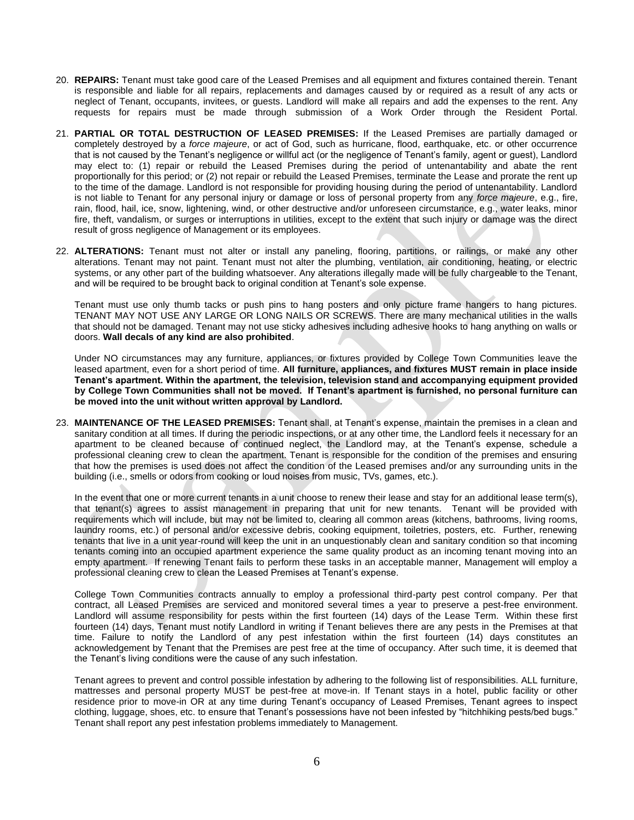- 20. **REPAIRS:** Tenant must take good care of the Leased Premises and all equipment and fixtures contained therein. Tenant is responsible and liable for all repairs, replacements and damages caused by or required as a result of any acts or neglect of Tenant, occupants, invitees, or guests. Landlord will make all repairs and add the expenses to the rent. Any requests for repairs must be made through submission of a Work Order through the Resident Portal.
- 21. **PARTIAL OR TOTAL DESTRUCTION OF LEASED PREMISES:** If the Leased Premises are partially damaged or completely destroyed by a *force majeure*, or act of God, such as hurricane, flood, earthquake, etc. or other occurrence that is not caused by the Tenant's negligence or willful act (or the negligence of Tenant's family, agent or guest), Landlord may elect to: (1) repair or rebuild the Leased Premises during the period of untenantability and abate the rent proportionally for this period; or (2) not repair or rebuild the Leased Premises, terminate the Lease and prorate the rent up to the time of the damage. Landlord is not responsible for providing housing during the period of untenantability. Landlord is not liable to Tenant for any personal injury or damage or loss of personal property from any *force majeure*, e.g., fire, rain, flood, hail, ice, snow, lightening, wind, or other destructive and/or unforeseen circumstance, e.g., water leaks, minor fire, theft, vandalism, or surges or interruptions in utilities, except to the extent that such injury or damage was the direct result of gross negligence of Management or its employees.
- 22. **ALTERATIONS:** Tenant must not alter or install any paneling, flooring, partitions, or railings, or make any other alterations. Tenant may not paint. Tenant must not alter the plumbing, ventilation, air conditioning, heating, or electric systems, or any other part of the building whatsoever. Any alterations illegally made will be fully chargeable to the Tenant, and will be required to be brought back to original condition at Tenant's sole expense.

Tenant must use only thumb tacks or push pins to hang posters and only picture frame hangers to hang pictures. TENANT MAY NOT USE ANY LARGE OR LONG NAILS OR SCREWS. There are many mechanical utilities in the walls that should not be damaged. Tenant may not use sticky adhesives including adhesive hooks to hang anything on walls or doors. **Wall decals of any kind are also prohibited**.

Under NO circumstances may any furniture, appliances, or fixtures provided by College Town Communities leave the leased apartment, even for a short period of time. **All furniture, appliances, and fixtures MUST remain in place inside Tenant's apartment. Within the apartment, the television, television stand and accompanying equipment provided by College Town Communities shall not be moved. If Tenant's apartment is furnished, no personal furniture can be moved into the unit without written approval by Landlord.** 

23. **MAINTENANCE OF THE LEASED PREMISES:** Tenant shall, at Tenant's expense, maintain the premises in a clean and sanitary condition at all times. If during the periodic inspections, or at any other time, the Landlord feels it necessary for an apartment to be cleaned because of continued neglect, the Landlord may, at the Tenant's expense, schedule a professional cleaning crew to clean the apartment. Tenant is responsible for the condition of the premises and ensuring that how the premises is used does not affect the condition of the Leased premises and/or any surrounding units in the building (i.e., smells or odors from cooking or loud noises from music, TVs, games, etc.).

In the event that one or more current tenants in a unit choose to renew their lease and stay for an additional lease term(s). that tenant(s) agrees to assist management in preparing that unit for new tenants. Tenant will be provided with requirements which will include, but may not be limited to, clearing all common areas (kitchens, bathrooms, living rooms, laundry rooms, etc.) of personal and/or excessive debris, cooking equipment, toiletries, posters, etc. Further, renewing tenants that live in a unit year-round will keep the unit in an unquestionably clean and sanitary condition so that incoming tenants coming into an occupied apartment experience the same quality product as an incoming tenant moving into an empty apartment. If renewing Tenant fails to perform these tasks in an acceptable manner, Management will employ a professional cleaning crew to clean the Leased Premises at Tenant's expense.

College Town Communities contracts annually to employ a professional third-party pest control company. Per that contract, all Leased Premises are serviced and monitored several times a year to preserve a pest-free environment. Landlord will assume responsibility for pests within the first fourteen (14) days of the Lease Term. Within these first fourteen (14) days, Tenant must notify Landlord in writing if Tenant believes there are any pests in the Premises at that time. Failure to notify the Landlord of any pest infestation within the first fourteen (14) days constitutes an acknowledgement by Tenant that the Premises are pest free at the time of occupancy. After such time, it is deemed that the Tenant's living conditions were the cause of any such infestation.

Tenant agrees to prevent and control possible infestation by adhering to the following list of responsibilities. ALL furniture, mattresses and personal property MUST be pest-free at move-in. If Tenant stays in a hotel, public facility or other residence prior to move-in OR at any time during Tenant's occupancy of Leased Premises, Tenant agrees to inspect clothing, luggage, shoes, etc. to ensure that Tenant's possessions have not been infested by "hitchhiking pests/bed bugs." Tenant shall report any pest infestation problems immediately to Management.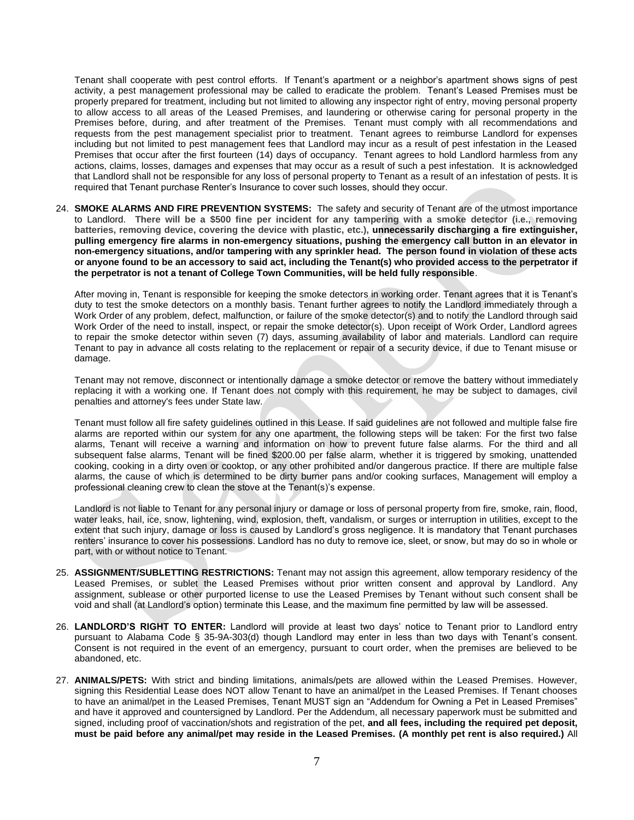Tenant shall cooperate with pest control efforts. If Tenant's apartment or a neighbor's apartment shows signs of pest activity, a pest management professional may be called to eradicate the problem. Tenant's Leased Premises must be properly prepared for treatment, including but not limited to allowing any inspector right of entry, moving personal property to allow access to all areas of the Leased Premises, and laundering or otherwise caring for personal property in the Premises before, during, and after treatment of the Premises. Tenant must comply with all recommendations and requests from the pest management specialist prior to treatment. Tenant agrees to reimburse Landlord for expenses including but not limited to pest management fees that Landlord may incur as a result of pest infestation in the Leased Premises that occur after the first fourteen (14) days of occupancy. Tenant agrees to hold Landlord harmless from any actions, claims, losses, damages and expenses that may occur as a result of such a pest infestation. It is acknowledged that Landlord shall not be responsible for any loss of personal property to Tenant as a result of an infestation of pests. It is required that Tenant purchase Renter's Insurance to cover such losses, should they occur.

24. **SMOKE ALARMS AND FIRE PREVENTION SYSTEMS:** The safety and security of Tenant are of the utmost importance to Landlord. **There will be a \$500 fine per incident for any tampering with a smoke detector (i.e., removing batteries, removing device, covering the device with plastic, etc.), unnecessarily discharging a fire extinguisher, pulling emergency fire alarms in non-emergency situations, pushing the emergency call button in an elevator in non-emergency situations, and/or tampering with any sprinkler head. The person found in violation of these acts or anyone found to be an accessory to said act, including the Tenant(s) who provided access to the perpetrator if the perpetrator is not a tenant of College Town Communities, will be held fully responsible**.

After moving in, Tenant is responsible for keeping the smoke detectors in working order. Tenant agrees that it is Tenant's duty to test the smoke detectors on a monthly basis. Tenant further agrees to notify the Landlord immediately through a Work Order of any problem, defect, malfunction, or failure of the smoke detector(s) and to notify the Landlord through said Work Order of the need to install, inspect, or repair the smoke detector(s). Upon receipt of Work Order, Landlord agrees to repair the smoke detector within seven (7) days, assuming availability of labor and materials. Landlord can require Tenant to pay in advance all costs relating to the replacement or repair of a security device, if due to Tenant misuse or damage.

Tenant may not remove, disconnect or intentionally damage a smoke detector or remove the battery without immediately replacing it with a working one. If Tenant does not comply with this requirement, he may be subject to damages, civil penalties and attorney's fees under State law.

Tenant must follow all fire safety guidelines outlined in this Lease. If said guidelines are not followed and multiple false fire alarms are reported within our system for any one apartment, the following steps will be taken: For the first two false alarms, Tenant will receive a warning and information on how to prevent future false alarms. For the third and all subsequent false alarms, Tenant will be fined \$200.00 per false alarm, whether it is triggered by smoking, unattended cooking, cooking in a dirty oven or cooktop, or any other prohibited and/or dangerous practice. If there are multiple false alarms, the cause of which is determined to be dirty burner pans and/or cooking surfaces, Management will employ a professional cleaning crew to clean the stove at the Tenant(s)'s expense.

Landlord is not liable to Tenant for any personal injury or damage or loss of personal property from fire, smoke, rain, flood, water leaks, hail, ice, snow, lightening, wind, explosion, theft, vandalism, or surges or interruption in utilities, except to the extent that such injury, damage or loss is caused by Landlord's gross negligence. It is mandatory that Tenant purchases renters' insurance to cover his possessions. Landlord has no duty to remove ice, sleet, or snow, but may do so in whole or part, with or without notice to Tenant.

- 25. **ASSIGNMENT/SUBLETTING RESTRICTIONS:** Tenant may not assign this agreement, allow temporary residency of the Leased Premises, or sublet the Leased Premises without prior written consent and approval by Landlord. Any assignment, sublease or other purported license to use the Leased Premises by Tenant without such consent shall be void and shall (at Landlord's option) terminate this Lease, and the maximum fine permitted by law will be assessed.
- 26. **LANDLORD'S RIGHT TO ENTER:** Landlord will provide at least two days' notice to Tenant prior to Landlord entry pursuant to Alabama Code § 35-9A-303(d) though Landlord may enter in less than two days with Tenant's consent. Consent is not required in the event of an emergency, pursuant to court order, when the premises are believed to be abandoned, etc.
- 27. **ANIMALS/PETS:** With strict and binding limitations, animals/pets are allowed within the Leased Premises. However, signing this Residential Lease does NOT allow Tenant to have an animal/pet in the Leased Premises. If Tenant chooses to have an animal/pet in the Leased Premises, Tenant MUST sign an "Addendum for Owning a Pet in Leased Premises" and have it approved and countersigned by Landlord. Per the Addendum, all necessary paperwork must be submitted and signed, including proof of vaccination/shots and registration of the pet, **and all fees, including the required pet deposit, must be paid before any animal/pet may reside in the Leased Premises. (A monthly pet rent is also required.)** All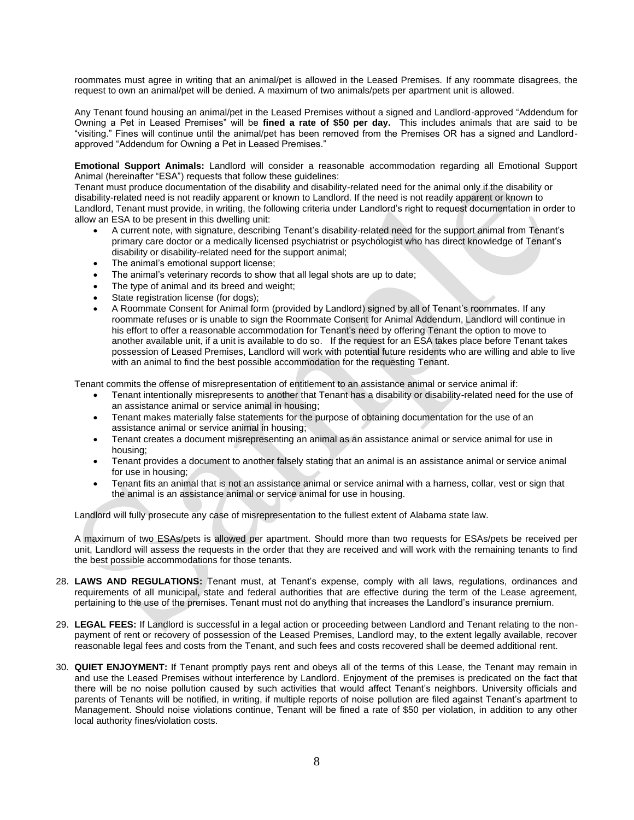roommates must agree in writing that an animal/pet is allowed in the Leased Premises. If any roommate disagrees, the request to own an animal/pet will be denied. A maximum of two animals/pets per apartment unit is allowed.

Any Tenant found housing an animal/pet in the Leased Premises without a signed and Landlord-approved "Addendum for Owning a Pet in Leased Premises" will be **fined a rate of \$50 per day.** This includes animals that are said to be "visiting." Fines will continue until the animal/pet has been removed from the Premises OR has a signed and Landlordapproved "Addendum for Owning a Pet in Leased Premises."

**Emotional Support Animals:** Landlord will consider a reasonable accommodation regarding all Emotional Support Animal (hereinafter "ESA") requests that follow these guidelines:

Tenant must produce documentation of the disability and disability-related need for the animal only if the disability or disability-related need is not readily apparent or known to Landlord. If the need is not readily apparent or known to Landlord, Tenant must provide, in writing, the following criteria under Landlord's right to request documentation in order to allow an ESA to be present in this dwelling unit:

- A current note, with signature, describing Tenant's disability-related need for the support animal from Tenant's primary care doctor or a medically licensed psychiatrist or psychologist who has direct knowledge of Tenant's disability or disability-related need for the support animal;
- The animal's emotional support license;
- The animal's veterinary records to show that all legal shots are up to date;
- The type of animal and its breed and weight;
- State registration license (for dogs);
- A Roommate Consent for Animal form (provided by Landlord) signed by all of Tenant's roommates. If any roommate refuses or is unable to sign the Roommate Consent for Animal Addendum, Landlord will continue in his effort to offer a reasonable accommodation for Tenant's need by offering Tenant the option to move to another available unit, if a unit is available to do so. If the request for an ESA takes place before Tenant takes possession of Leased Premises, Landlord will work with potential future residents who are willing and able to live with an animal to find the best possible accommodation for the requesting Tenant.

Tenant commits the offense of misrepresentation of entitlement to an assistance animal or service animal if:

- Tenant intentionally misrepresents to another that Tenant has a disability or disability-related need for the use of an assistance animal or service animal in housing;
- Tenant makes materially false statements for the purpose of obtaining documentation for the use of an assistance animal or service animal in housing;
- Tenant creates a document misrepresenting an animal as an assistance animal or service animal for use in housing;
- Tenant provides a document to another falsely stating that an animal is an assistance animal or service animal for use in housing;
- Tenant fits an animal that is not an assistance animal or service animal with a harness, collar, vest or sign that the animal is an assistance animal or service animal for use in housing.

Landlord will fully prosecute any case of misrepresentation to the fullest extent of Alabama state law.

A maximum of two ESAs/pets is allowed per apartment. Should more than two requests for ESAs/pets be received per unit, Landlord will assess the requests in the order that they are received and will work with the remaining tenants to find the best possible accommodations for those tenants.

- 28. **LAWS AND REGULATIONS:** Tenant must, at Tenant's expense, comply with all laws, regulations, ordinances and requirements of all municipal, state and federal authorities that are effective during the term of the Lease agreement, pertaining to the use of the premises. Tenant must not do anything that increases the Landlord's insurance premium.
- 29. **LEGAL FEES:** If Landlord is successful in a legal action or proceeding between Landlord and Tenant relating to the nonpayment of rent or recovery of possession of the Leased Premises, Landlord may, to the extent legally available, recover reasonable legal fees and costs from the Tenant, and such fees and costs recovered shall be deemed additional rent.
- 30. **QUIET ENJOYMENT:** If Tenant promptly pays rent and obeys all of the terms of this Lease, the Tenant may remain in and use the Leased Premises without interference by Landlord. Enjoyment of the premises is predicated on the fact that there will be no noise pollution caused by such activities that would affect Tenant's neighbors. University officials and parents of Tenants will be notified, in writing, if multiple reports of noise pollution are filed against Tenant's apartment to Management. Should noise violations continue, Tenant will be fined a rate of \$50 per violation, in addition to any other local authority fines/violation costs.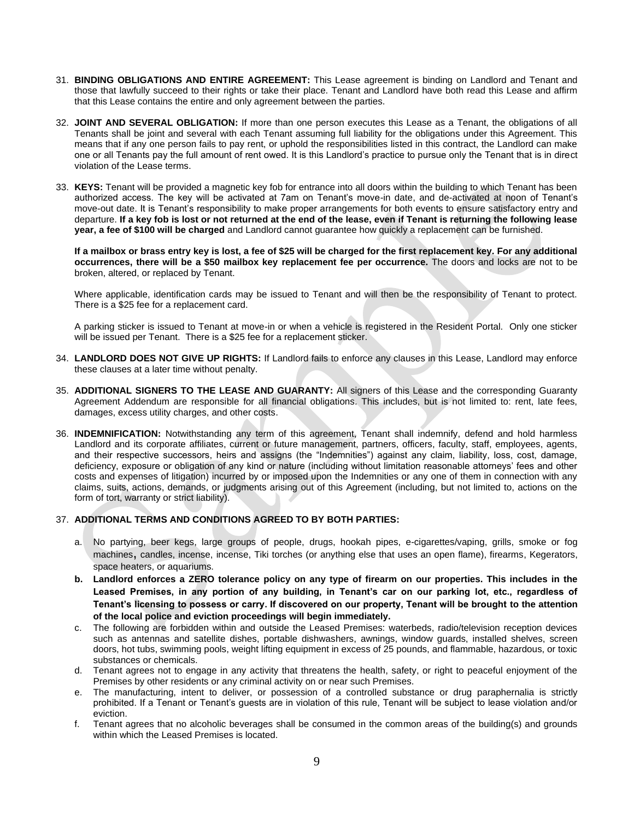- 31. **BINDING OBLIGATIONS AND ENTIRE AGREEMENT:** This Lease agreement is binding on Landlord and Tenant and those that lawfully succeed to their rights or take their place. Tenant and Landlord have both read this Lease and affirm that this Lease contains the entire and only agreement between the parties.
- 32. **JOINT AND SEVERAL OBLIGATION:** If more than one person executes this Lease as a Tenant, the obligations of all Tenants shall be joint and several with each Tenant assuming full liability for the obligations under this Agreement. This means that if any one person fails to pay rent, or uphold the responsibilities listed in this contract, the Landlord can make one or all Tenants pay the full amount of rent owed. It is this Landlord's practice to pursue only the Tenant that is in direct violation of the Lease terms.
- 33. **KEYS:** Tenant will be provided a magnetic key fob for entrance into all doors within the building to which Tenant has been authorized access. The key will be activated at 7am on Tenant's move-in date, and de-activated at noon of Tenant's move-out date. It is Tenant's responsibility to make proper arrangements for both events to ensure satisfactory entry and departure. **If a key fob is lost or not returned at the end of the lease, even if Tenant is returning the following lease year, a fee of \$100 will be charged** and Landlord cannot guarantee how quickly a replacement can be furnished.

**If a mailbox or brass entry key is lost, a fee of \$25 will be charged for the first replacement key. For any additional occurrences, there will be a \$50 mailbox key replacement fee per occurrence.** The doors and locks are not to be broken, altered, or replaced by Tenant.

Where applicable, identification cards may be issued to Tenant and will then be the responsibility of Tenant to protect. There is a \$25 fee for a replacement card.

A parking sticker is issued to Tenant at move-in or when a vehicle is registered in the Resident Portal. Only one sticker will be issued per Tenant. There is a \$25 fee for a replacement sticker.

- 34. **LANDLORD DOES NOT GIVE UP RIGHTS:** If Landlord fails to enforce any clauses in this Lease, Landlord may enforce these clauses at a later time without penalty.
- 35. **ADDITIONAL SIGNERS TO THE LEASE AND GUARANTY:** All signers of this Lease and the corresponding Guaranty Agreement Addendum are responsible for all financial obligations. This includes, but is not limited to: rent, late fees, damages, excess utility charges, and other costs.
- 36. **INDEMNIFICATION:** Notwithstanding any term of this agreement, Tenant shall indemnify, defend and hold harmless Landlord and its corporate affiliates, current or future management, partners, officers, faculty, staff, employees, agents, and their respective successors, heirs and assigns (the "Indemnities") against any claim, liability, loss, cost, damage, deficiency, exposure or obligation of any kind or nature (including without limitation reasonable attorneys' fees and other costs and expenses of litigation) incurred by or imposed upon the Indemnities or any one of them in connection with any claims, suits, actions, demands, or judgments arising out of this Agreement (including, but not limited to, actions on the form of tort, warranty or strict liability).

## 37. **ADDITIONAL TERMS AND CONDITIONS AGREED TO BY BOTH PARTIES:**

- a. No partying, beer kegs, large groups of people, drugs, hookah pipes, e-cigarettes/vaping, grills, smoke or fog machines, candles, incense, incense, Tiki torches (or anything else that uses an open flame), firearms, Kegerators, space heaters, or aquariums.
- **b. Landlord enforces a ZERO tolerance policy on any type of firearm on our properties. This includes in the Leased Premises, in any portion of any building, in Tenant's car on our parking lot, etc., regardless of Tenant's licensing to possess or carry. If discovered on our property, Tenant will be brought to the attention of the local police and eviction proceedings will begin immediately.**
- c. The following are forbidden within and outside the Leased Premises: waterbeds, radio/television reception devices such as antennas and satellite dishes, portable dishwashers, awnings, window guards, installed shelves, screen doors, hot tubs, swimming pools, weight lifting equipment in excess of 25 pounds, and flammable, hazardous, or toxic substances or chemicals.
- d. Tenant agrees not to engage in any activity that threatens the health, safety, or right to peaceful enjoyment of the Premises by other residents or any criminal activity on or near such Premises.
- e. The manufacturing, intent to deliver, or possession of a controlled substance or drug paraphernalia is strictly prohibited. If a Tenant or Tenant's guests are in violation of this rule, Tenant will be subject to lease violation and/or eviction.
- f. Tenant agrees that no alcoholic beverages shall be consumed in the common areas of the building(s) and grounds within which the Leased Premises is located.